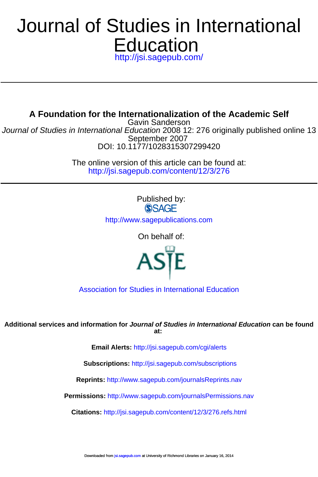# Education Journal of Studies in International

<http://jsi.sagepub.com/>

### **A Foundation for the Internationalization of the Academic Self**

DOI: 10.1177/1028315307299420 September 2007 Journal of Studies in International Education 2008 12: 276 originally published online 13 Gavin Sanderson

> <http://jsi.sagepub.com/content/12/3/276> The online version of this article can be found at:

> > [Published by:](http://jsi.sagepub.com/cgi/alerts)<br>
> > SAGE <http://www.sagepublications.com>

> > > [On behalf of:](http://jsi.sagepub.com/subscriptions)



[Association for Studies in International Education](http://www.asie.org/)

**[at:](http://jsi.sagepub.com/content/12/3/276.refs.html) Additional services and information for Journal of Studies in International Education can be found**

**Email Alerts:** <http://jsi.sagepub.com/cgi/alerts>

**Subscriptions:** <http://jsi.sagepub.com/subscriptions>

**Reprints:** <http://www.sagepub.com/journalsReprints.nav>

**Permissions:** <http://www.sagepub.com/journalsPermissions.nav>

**Citations:** <http://jsi.sagepub.com/content/12/3/276.refs.html>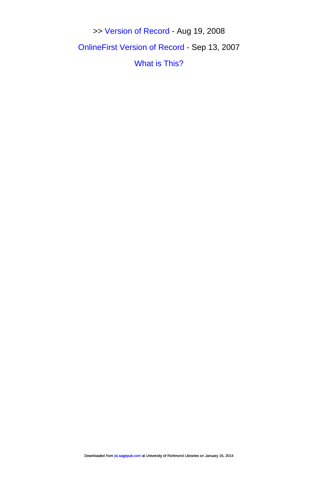[What is This?](http://online.sagepub.com/site/sphelp/vorhelp.xhtml) [OnlineFirst Version of Record](http://jsi.sagepub.com/content/early/2007/09/13/1028315307299420.full.pdf) - Sep 13, 2007 >> [Version of Record -](http://jsi.sagepub.com/content/12/3/276.full.pdf) Aug 19, 2008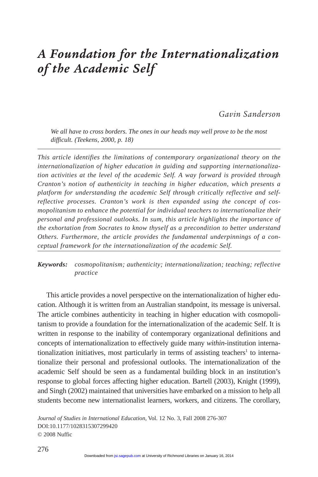## *A Foundation for the Internationalization of the Academic Self*

*Gavin Sanderson*

*We all have to cross borders. The ones in our heads may well prove to be the most difficult. (Teekens, 2000, p. 18)* 

*This article identifies the limitations of contemporary organizational theory on the internationalization of higher education in guiding and supporting internationalization activities at the level of the academic Self. A way forward is provided through Cranton's notion of authenticity in teaching in higher education, which presents a platform for understanding the academic Self through critically reflective and selfreflective processes. Cranton's work is then expanded using the concept of cosmopolitanism to enhance the potential for individual teachers to internationalize their personal and professional outlooks. In sum, this article highlights the importance of the exhortation from Socrates to know thyself as a precondition to better understand Others. Furthermore, the article provides the fundamental underpinnings of a conceptual framework for the internationalization of the academic Self.*

*Keywords: cosmopolitanism; authenticity; internationalization; teaching; reflective practice*

This article provides a novel perspective on the internationalization of higher education. Although it is written from an Australian standpoint, its message is universal. The article combines authenticity in teaching in higher education with cosmopolitanism to provide a foundation for the internationalization of the academic Self. It is written in response to the inability of contemporary organizational definitions and concepts of internationalization to effectively guide many *within*-institution internationalization initiatives, most particularly in terms of assisting teachers<sup>1</sup> to internationalize their personal and professional outlooks. The internationalization of the academic Self should be seen as a fundamental building block in an institution's response to global forces affecting higher education. Bartell (2003), Knight (1999), and Singh (2002) maintained that universities have embarked on a mission to help all students become new internationalist learners, workers, and citizens. The corollary,

*Journal of Studies in International Education*, Vol. 12 No. 3, Fall 2008 276-307 DOI:10.1177/1028315307299420 © 2008 Nuffic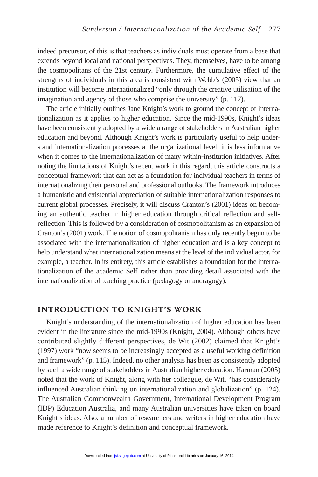indeed precursor, of this is that teachers as individuals must operate from a base that extends beyond local and national perspectives. They, themselves, have to be among the cosmopolitans of the 21st century. Furthermore, the cumulative effect of the strengths of individuals in this area is consistent with Webb's (2005) view that an institution will become internationalized "only through the creative utilisation of the imagination and agency of those who comprise the university" (p. 117).

The article initially outlines Jane Knight's work to ground the concept of internationalization as it applies to higher education. Since the mid-1990s, Knight's ideas have been consistently adopted by a wide a range of stakeholders in Australian higher education and beyond. Although Knight's work is particularly useful to help understand internationalization processes at the organizational level, it is less informative when it comes to the internationalization of many within-institution initiatives. After noting the limitations of Knight's recent work in this regard, this article constructs a conceptual framework that can act as a foundation for individual teachers in terms of internationalizing their personal and professional outlooks. The framework introduces a humanistic and existential appreciation of suitable internationalization responses to current global processes. Precisely, it will discuss Cranton's (2001) ideas on becoming an authentic teacher in higher education through critical reflection and selfreflection. This is followed by a consideration of cosmopolitanism as an expansion of Cranton's (2001) work. The notion of cosmopolitanism has only recently begun to be associated with the internationalization of higher education and is a key concept to help understand what internationalization means at the level of the individual actor, for example, a teacher. In its entirety, this article establishes a foundation for the internationalization of the academic Self rather than providing detail associated with the internationalization of teaching practice (pedagogy or andragogy).

#### **INTRODUCTION TO KNIGHT'S WORK**

Knight's understanding of the internationalization of higher education has been evident in the literature since the mid-1990s (Knight, 2004). Although others have contributed slightly different perspectives, de Wit (2002) claimed that Knight's (1997) work "now seems to be increasingly accepted as a useful working definition and framework" (p. 115). Indeed, no other analysis has been as consistently adopted by such a wide range of stakeholders in Australian higher education. Harman (2005) noted that the work of Knight, along with her colleague, de Wit, "has considerably influenced Australian thinking on internationalization and globalization" (p. 124). The Australian Commonwealth Government, International Development Program (IDP) Education Australia, and many Australian universities have taken on board Knight's ideas. Also, a number of researchers and writers in higher education have made reference to Knight's definition and c[onceptual](http://jsi.sagepub.com/) framework.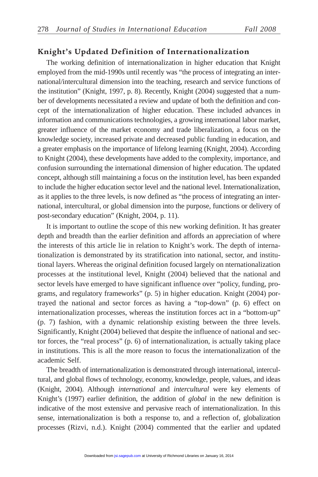#### **Knight's Updated Definition of Internationalization**

The working definition of internationalization in higher education that Knight employed from the mid-1990s until recently was "the process of integrating an international/intercultural dimension into the teaching, research and service functions of the institution" (Knight, 1997, p. 8). Recently, Knight (2004) suggested that a number of developments necessitated a review and update of both the definition and concept of the internationalization of higher education. These included advances in information and communications technologies, a growing international labor market, greater influence of the market economy and trade liberalization, a focus on the knowledge society, increased private and decreased public funding in education, and a greater emphasis on the importance of lifelong learning (Knight, 2004). According to Knight (2004), these developments have added to the complexity, importance, and confusion surrounding the international dimension of higher education. The updated concept, although still maintaining a focus on the institution level, has been expanded to include the higher education sector level and the national level. Internationalization, as it applies to the three levels, is now defined as "the process of integrating an international, intercultural, or global dimension into the purpose, functions or delivery of post-secondary education" (Knight, 2004, p. 11).

It is important to outline the scope of this new working definition. It has greater depth and breadth than the earlier definition and affords an appreciation of where the interests of this article lie in relation to Knight's work. The depth of internationalization is demonstrated by its stratification into national, sector, and institutional layers. Whereas the original definition focused largely on nternationalization processes at the institutional level, Knight (2004) believed that the national and sector levels have emerged to have significant influence over "policy, funding, programs, and regulatory frameworks" (p. 5) in higher education. Knight (2004) portrayed the national and sector forces as having a "top-down" (p. 6) effect on internationalization processes, whereas the institution forces act in a "bottom-up" (p. 7) fashion, with a dynamic relationship existing between the three levels. Significantly, Knight (2004) believed that despite the influence of national and sector forces, the "real process" (p. 6) of internationalization, is actually taking place in institutions. This is all the more reason to focus the internationalization of the academic Self.

The breadth of internationalization is demonstrated through international, intercultural, and global flows of technology, economy, knowledge, people, values, and ideas (Knight, 2004). Although *international* and *intercultural* were key elements of Knight's (1997) earlier definition, the addition of *global* in the new definition is indicative of the most extensive and pervasive reach of internationalization. In this sense, internationalization is both a response to, and a reflection of, globalization processes (Rizvi, n.d.). Knight (2004) co[mmented t](http://jsi.sagepub.com/)hat the earlier and updated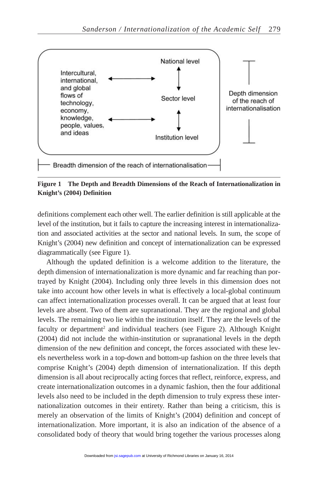

**Figure 1 The Depth and Breadth Dimensions of the Reach of Internationalization in Knight's (2004) Definition**

definitions complement each other well. The earlier definition is still applicable at the level of the institution, but it fails to capture the increasing interest in internationalization and associated activities at the sector and national levels. In sum, the scope of Knight's (2004) new definition and concept of internationalization can be expressed diagrammatically (see Figure 1).

Although the updated definition is a welcome addition to the literature, the depth dimension of internationalization is more dynamic and far reaching than portrayed by Knight (2004). Including only three levels in this dimension does not take into account how other levels in what is effectively a local-global continuum can affect internationalization processes overall. It can be argued that at least four levels are absent. Two of them are supranational. They are the regional and global levels. The remaining two lie within the institution itself. They are the levels of the faculty or department<sup>2</sup> and individual teachers (see Figure 2). Although Knight (2004) did not include the within-institution or supranational levels in the depth dimension of the new definition and concept, the forces associated with these levels nevertheless work in a top-down and bottom-up fashion on the three levels that comprise Knight's (2004) depth dimension of internationalization. If this depth dimension is all about reciprocally acting forces that reflect, reinforce, express, and create internationalization outcomes in a dynamic fashion, then the four additional levels also need to be included in the depth dimension to truly express these internationalization outcomes in their entirety. Rather than being a criticism, this is merely an observation of the limits of Knight's (2004) definition and concept of internationalization. More important, it is also an indication of the absence of a consolidated body of theory that would bri[ng together](http://jsi.sagepub.com/) the various processes along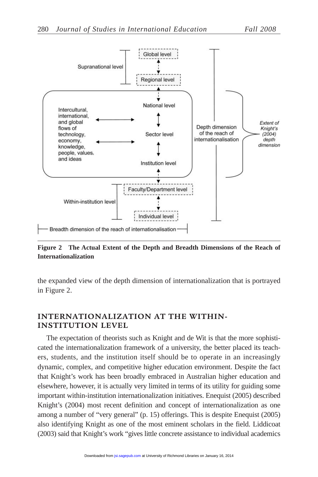

#### **Figure 2 The Actual Extent of the Depth and Breadth Dimensions of the Reach of Internationalization**

the expanded view of the depth dimension of internationalization that is portrayed in Figure 2.

#### **INTERNATIONALIZATION AT THE WITHIN-INSTITUTION LEVEL**

The expectation of theorists such as Knight and de Wit is that the more sophisticated the internationalization framework of a university, the better placed its teachers, students, and the institution itself should be to operate in an increasingly dynamic, complex, and competitive higher education environment. Despite the fact that Knight's work has been broadly embraced in Australian higher education and elsewhere, however, it is actually very limited in terms of its utility for guiding some important within-institution internationalization initiatives. Enequist (2005) described Knight's (2004) most recent definition and concept of internationalization as one among a number of "very general" (p. 15) offerings. This is despite Enequist (2005) also identifying Knight as one of the most eminent scholars in the field. Liddicoat (2003) said that Knight's work "gives little co[ncrete assis](http://jsi.sagepub.com/)tance to individual academics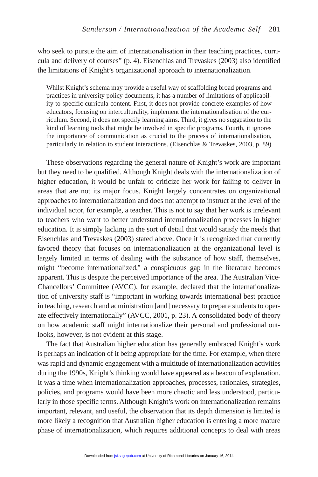who seek to pursue the aim of internationalisation in their teaching practices, curricula and delivery of courses" (p. 4). Eisenchlas and Trevaskes (2003) also identified the limitations of Knight's organizational approach to internationalization.

Whilst Knight's schema may provide a useful way of scaffolding broad programs and practices in university policy documents, it has a number of limitations of applicability to specific curricula content. First, it does not provide concrete examples of how educators, focusing on interculturality, implement the internationalisation of the curriculum. Second, it does not specify learning aims. Third, it gives no suggestion to the kind of learning tools that might be involved in specific programs. Fourth, it ignores the importance of communication as crucial to the process of internationalisation, particularly in relation to student interactions. (Eisenchlas & Trevaskes, 2003, p. 89)

These observations regarding the general nature of Knight's work are important but they need to be qualified. Although Knight deals with the internationalization of higher education, it would be unfair to criticize her work for failing to deliver in areas that are not its major focus. Knight largely concentrates on organizational approaches to internationalization and does not attempt to instruct at the level of the individual actor, for example, a teacher. This is not to say that her work is irrelevant to teachers who want to better understand internationalization processes in higher education. It is simply lacking in the sort of detail that would satisfy the needs that Eisenchlas and Trevaskes (2003) stated above. Once it is recognized that currently favored theory that focuses on internationalization at the organizational level is largely limited in terms of dealing with the substance of how staff, themselves, might "become internationalized," a conspicuous gap in the literature becomes apparent. This is despite the perceived importance of the area. The Australian Vice-Chancellors' Committee (AVCC), for example, declared that the internationalization of university staff is "important in working towards international best practice in teaching, research and administration [and] necessary to prepare students to operate effectively internationally" (AVCC, 2001, p. 23). A consolidated body of theory on how academic staff might internationalize their personal and professional outlooks, however, is not evident at this stage.

The fact that Australian higher education has generally embraced Knight's work is perhaps an indication of it being appropriate for the time. For example, when there was rapid and dynamic engagement with a multitude of internationalization activities during the 1990s, Knight's thinking would have appeared as a beacon of explanation. It was a time when internationalization approaches, processes, rationales, strategies, policies, and programs would have been more chaotic and less understood, particularly in those specific terms. Although Knight's work on internationalization remains important, relevant, and useful, the observation that its depth dimension is limited is more likely a recognition that Australian higher education is entering a more mature phase of internationalization, which require[s additiona](http://jsi.sagepub.com/)l concepts to deal with areas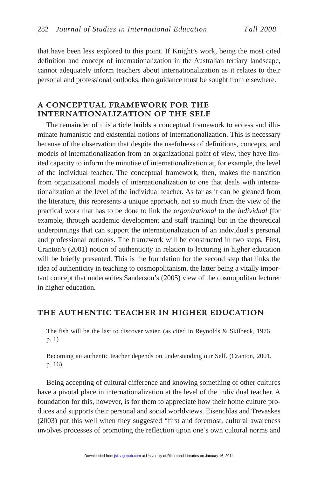that have been less explored to this point. If Knight's work, being the most cited definition and concept of internationalization in the Australian tertiary landscape, cannot adequately inform teachers about internationalization as it relates to their personal and professional outlooks, then guidance must be sought from elsewhere.

#### **A CONCEPTUAL FRAMEWORK FOR THE INTERNATIONALIZATION OF THE SELF**

The remainder of this article builds a conceptual framework to access and illuminate humanistic and existential notions of internationalization. This is necessary because of the observation that despite the usefulness of definitions, concepts, and models of internationalization from an organizational point of view, they have limited capacity to inform the minutiae of internationalization at, for example, the level of the individual teacher. The conceptual framework, then, makes the transition from organizational models of internationalization to one that deals with internationalization at the level of the individual teacher. As far as it can be gleaned from the literature, this represents a unique approach, not so much from the view of the practical work that has to be done to link the *organizational* to the *individual* (for example, through academic development and staff training) but in the theoretical underpinnings that can support the internationalization of an individual's personal and professional outlooks. The framework will be constructed in two steps. First, Cranton's (2001) notion of authenticity in relation to lecturing in higher education will be briefly presented. This is the foundation for the second step that links the idea of authenticity in teaching to cosmopolitanism, the latter being a vitally important concept that underwrites Sanderson's (2005) view of the cosmopolitan lecturer in higher education*.*

#### **THE AUTHENTIC TEACHER IN HIGHER EDUCATION**

The fish will be the last to discover water. (as cited in Reynolds & Skilbeck, 1976, p. 1)

Becoming an authentic teacher depends on understanding our Self. (Cranton, 2001, p. 16)

Being accepting of cultural difference and knowing something of other cultures have a pivotal place in internationalization at the level of the individual teacher. A foundation for this, however, is for them to appreciate how their home culture produces and supports their personal and social worldviews. Eisenchlas and Trevaskes (2003) put this well when they suggested "first and foremost, cultural awareness involves processes of promoting the reflect[ion upon o](http://jsi.sagepub.com/)ne's own cultural norms and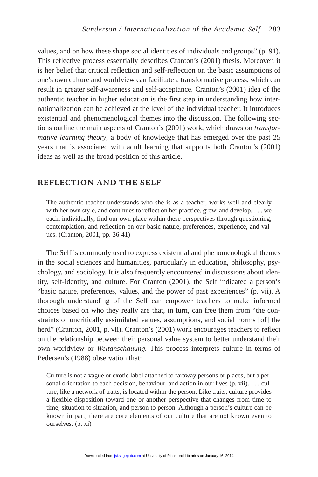values, and on how these shape social identities of individuals and groups" (p. 91). This reflective process essentially describes Cranton's (2001) thesis. Moreover, it is her belief that critical reflection and self-reflection on the basic assumptions of one's own culture and worldview can facilitate a transformative process, which can result in greater self-awareness and self-acceptance. Cranton's (2001) idea of the authentic teacher in higher education is the first step in understanding how internationalization can be achieved at the level of the individual teacher. It introduces existential and phenomenological themes into the discussion. The following sections outline the main aspects of Cranton's (2001) work, which draws on *transformative learning theory*, a body of knowledge that has emerged over the past 25 years that is associated with adult learning that supports both Cranton's (2001) ideas as well as the broad position of this article.

#### **REFLECTION AND THE SELF**

The authentic teacher understands who she is as a teacher, works well and clearly with her own style, and continues to reflect on her practice, grow, and develop. . . . we each, individually, find our own place within these perspectives through questioning, contemplation, and reflection on our basic nature, preferences, experience, and values. (Cranton, 2001, pp. 36-41)

The Self is commonly used to express existential and phenomenological themes in the social sciences and humanities, particularly in education, philosophy, psychology, and sociology. It is also frequently encountered in discussions about identity, self-identity, and culture. For Cranton (2001), the Self indicated a person's "basic nature, preferences, values, and the power of past experiences" (p. vii). A thorough understanding of the Self can empower teachers to make informed choices based on who they really are that, in turn, can free them from "the constraints of uncritically assimilated values, assumptions, and social norms [of] the herd" (Cranton, 2001, p. vii). Cranton's (2001) work encourages teachers to reflect on the relationship between their personal value system to better understand their own worldview or *Weltanschauung.* This process interprets culture in terms of Pedersen's (1988) observation that:

Culture is not a vague or exotic label attached to faraway persons or places, but a personal orientation to each decision, behaviour, and action in our lives (p. vii). . . . culture, like a network of traits, is located within the person. Like traits, culture provides a flexible disposition toward one or another perspective that changes from time to time, situation to situation, and person to person. Although a person's culture can be known in part, there are core elements of our culture that are not known even to ourselves. (p. xi)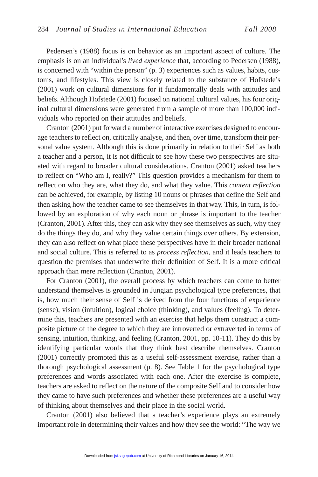Pedersen's (1988) focus is on behavior as an important aspect of culture. The emphasis is on an individual's *lived experience* that, according to Pedersen (1988), is concerned with "within the person" (p. 3) experiences such as values, habits, customs, and lifestyles. This view is closely related to the substance of Hofstede's (2001) work on cultural dimensions for it fundamentally deals with attitudes and beliefs. Although Hofstede (2001) focused on national cultural values, his four original cultural dimensions were generated from a sample of more than 100,000 individuals who reported on their attitudes and beliefs.

Cranton (2001) put forward a number of interactive exercises designed to encourage teachers to reflect on, critically analyse, and then, over time, transform their personal value system. Although this is done primarily in relation to their Self as both a teacher and a person, it is not difficult to see how these two perspectives are situated with regard to broader cultural considerations. Cranton (2001) asked teachers to reflect on "Who am I, really?" This question provides a mechanism for them to reflect on who they are, what they do, and what they value. This *content reflection* can be achieved, for example, by listing 10 nouns or phrases that define the Self and then asking how the teacher came to see themselves in that way. This, in turn, is followed by an exploration of why each noun or phrase is important to the teacher (Cranton, 2001). After this, they can ask why they see themselves as such, why they do the things they do, and why they value certain things over others. By extension, they can also reflect on what place these perspectives have in their broader national and social culture. This is referred to as *process reflection*, and it leads teachers to question the premises that underwrite their definition of Self. It is a more critical approach than mere reflection (Cranton, 2001).

For Cranton (2001), the overall process by which teachers can come to better understand themselves is grounded in Jungian psychological type preferences, that is, how much their sense of Self is derived from the four functions of experience (sense), vision (intuition), logical choice (thinking), and values (feeling). To determine this, teachers are presented with an exercise that helps them construct a composite picture of the degree to which they are introverted or extraverted in terms of sensing, intuition, thinking, and feeling (Cranton, 2001, pp. 10-11). They do this by identifying particular words that they think best describe themselves. Cranton (2001) correctly promoted this as a useful self-assessment exercise, rather than a thorough psychological assessment (p. 8). See Table 1 for the psychological type preferences and words associated with each one. After the exercise is complete, teachers are asked to reflect on the nature of the composite Self and to consider how they came to have such preferences and whether these preferences are a useful way of thinking about themselves and their place in the social world.

Cranton (2001) also believed that a teacher's experience plays an extremely important role in determining their values and how they see the world: "The way we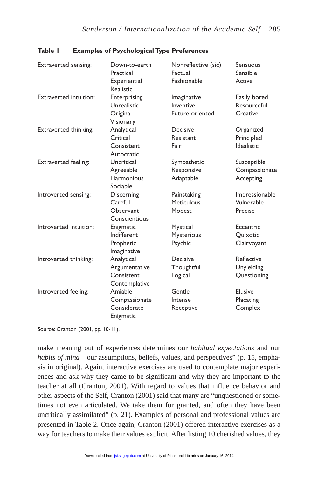| Extraverted sensing:   | Down-to-earth | Nonreflective (sic) | Sensuous       |
|------------------------|---------------|---------------------|----------------|
|                        | Practical     | Factual             | Sensible       |
|                        | Experiential  | Fashionable         | Active         |
|                        | Realistic     |                     |                |
| Extraverted intuition: | Enterprising  | Imaginative         | Easily bored   |
|                        | Unrealistic   | Inventive           | Resourceful    |
|                        | Original      | Future-oriented     | Creative       |
|                        | Visionary     |                     |                |
| Extraverted thinking:  | Analytical    | Decisive            | Organized      |
|                        | Critical      | <b>Resistant</b>    | Principled     |
|                        | Consistent    | Fair                | Idealistic     |
|                        | Autocratic    |                     |                |
| Extraverted feeling:   | Uncritical    | Sympathetic         | Susceptible    |
|                        | Agreeable     | Responsive          | Compassionate  |
|                        | Harmonious    | Adaptable           | Accepting      |
|                        | Sociable      |                     |                |
| Introverted sensing:   | Discerning    | Painstaking         | Impressionable |
|                        | Careful       | Meticulous          | Vulnerable     |
|                        | Observant     | Modest              | Precise        |
|                        | Conscientious |                     |                |
| Introverted intuition: | Enigmatic     | Mystical            | Eccentric      |
|                        | Indifferent   | Mysterious          | Quixotic       |
|                        | Prophetic     | Psychic             | Clairvoyant    |
|                        | Imaginative   |                     |                |
| Introverted thinking:  | Analytical    | Decisive            | Reflective     |
|                        | Argumentative | Thoughtful          | Unyielding     |
|                        | Consistent    | Logical             | Questioning    |
|                        | Contemplative |                     |                |
| Introverted feeling:   | Amiable       | Gentle              | Elusive        |
|                        | Compassionate | Intense             | Placating      |
|                        | Considerate   | Receptive           | Complex        |
|                        | Enigmatic     |                     |                |
|                        |               |                     |                |

**Table 1 Examples of Psychological Type Preferences**

Source: Cranton (2001, pp. 10-11).

make meaning out of experiences determines our *habitual expectations* and our *habits of mind*—our assumptions, beliefs, values, and perspectives" (p. 15, emphasis in original). Again, interactive exercises are used to contemplate major experiences and ask why they came to be significant and why they are important to the teacher at all (Cranton, 2001). With regard to values that influence behavior and other aspects of the Self, Cranton (2001) said that many are "unquestioned or sometimes not even articulated. We take them for granted, and often they have been uncritically assimilated" (p. 21). Examples of personal and professional values are presented in Table 2. Once again, Cranton (2001) offered interactive exercises as a way for teachers to make their values explic[it. After list](http://jsi.sagepub.com/)ing 10 cherished values, they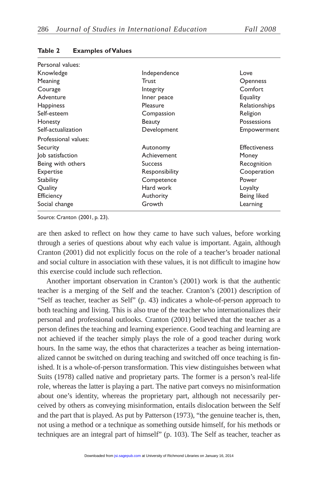| Personal values:     |                |                      |
|----------------------|----------------|----------------------|
| Knowledge            | Independence   | Love                 |
| Meaning              | Trust          | Openness             |
| Courage              | Integrity      | Comfort              |
| Adventure            | Inner peace    | Equality             |
| <b>Happiness</b>     | Pleasure       | Relationships        |
| Self-esteem          | Compassion     | Religion             |
| Honesty              | <b>Beauty</b>  | Possessions          |
| Self-actualization   | Development    | Empowerment          |
| Professional values: |                |                      |
| Security             | Autonomy       | <b>Effectiveness</b> |
| Job satisfaction     | Achievement    | Money                |
| Being with others    | <b>Success</b> | Recognition          |
| Expertise            | Responsibility | Cooperation          |
| <b>Stability</b>     | Competence     | Power                |
| Quality              | Hard work      | Loyalty              |
| Efficiency           | Authority      | Being liked          |
| Social change        | Growth         | Learning             |

#### **Table 2 Examples of Values**

Source: Cranton (2001, p. 23).

are then asked to reflect on how they came to have such values, before working through a series of questions about why each value is important. Again, although Cranton (2001) did not explicitly focus on the role of a teacher's broader national and social culture in association with these values, it is not difficult to imagine how this exercise could include such reflection.

Another important observation in Cranton's (2001) work is that the authentic teacher is a merging of the Self and the teacher. Cranton's (2001) description of "Self as teacher, teacher as Self" (p. 43) indicates a whole-of-person approach to both teaching and living. This is also true of the teacher who internationalizes their personal and professional outlooks. Cranton (2001) believed that the teacher as a person defines the teaching and learning experience. Good teaching and learning are not achieved if the teacher simply plays the role of a good teacher during work hours. In the same way, the ethos that characterizes a teacher as being internationalized cannot be switched on during teaching and switched off once teaching is finished. It is a whole-of-person transformation. This view distinguishes between what Suits (1978) called native and proprietary parts. The former is a person's real-life role, whereas the latter is playing a part. The native part conveys no misinformation about one's identity, whereas the proprietary part, although not necessarily perceived by others as conveying misinformation, entails dislocation between the Self and the part that is played. As put by Patterson (1973), "the genuine teacher is, then, not using a method or a technique as something outside himself, for his methods or techniques are an integral part of himself" [\(p. 103\). T](http://jsi.sagepub.com/)he Self as teacher, teacher as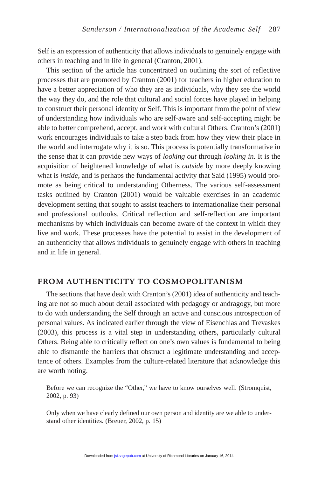Self is an expression of authenticity that allows individuals to genuinely engage with others in teaching and in life in general (Cranton, 2001).

This section of the article has concentrated on outlining the sort of reflective processes that are promoted by Cranton (2001) for teachers in higher education to have a better appreciation of who they are as individuals, why they see the world the way they do, and the role that cultural and social forces have played in helping to construct their personal identity or Self. This is important from the point of view of understanding how individuals who are self-aware and self-accepting might be able to better comprehend, accept, and work with cultural Others. Cranton's (2001) work encourages individuals to take a step back from how they view their place in the world and interrogate why it is so. This process is potentially transformative in the sense that it can provide new ways of *looking out* through *looking in.* It is the acquisition of heightened knowledge of what is *outside* by more deeply knowing what is *inside*, and is perhaps the fundamental activity that Said (1995) would promote as being critical to understanding Otherness. The various self-assessment tasks outlined by Cranton (2001) would be valuable exercises in an academic development setting that sought to assist teachers to internationalize their personal and professional outlooks. Critical reflection and self-reflection are important mechanisms by which individuals can become aware of the context in which they live and work. These processes have the potential to assist in the development of an authenticity that allows individuals to genuinely engage with others in teaching and in life in general.

#### **FROM AUTHENTICITY TO COSMOPOLITANISM**

The sections that have dealt with Cranton's (2001) idea of authenticity and teaching are not so much about detail associated with pedagogy or andragogy, but more to do with understanding the Self through an active and conscious introspection of personal values. As indicated earlier through the view of Eisenchlas and Trevaskes (2003), this process is a vital step in understanding others, particularly cultural Others. Being able to critically reflect on one's own values is fundamental to being able to dismantle the barriers that obstruct a legitimate understanding and acceptance of others. Examples from the culture-related literature that acknowledge this are worth noting.

Before we can recognize the "Other," we have to know ourselves well. (Stromquist, 2002, p. 93)

Only when we have clearly defined our own person and identity are we able to understand other identities. (Breuer, 2002, p. 15)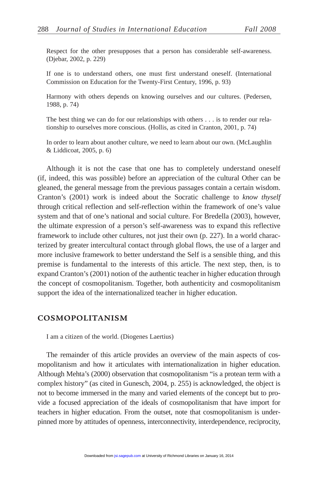Respect for the other presupposes that a person has considerable self-awareness. (Djebar, 2002, p. 229)

If one is to understand others, one must first understand oneself. (International Commission on Education for the Twenty-First Century, 1996, p. 93)

Harmony with others depends on knowing ourselves and our cultures. (Pedersen, 1988, p. 74)

The best thing we can do for our relationships with others . . . is to render our relationship to ourselves more conscious. (Hollis, as cited in Cranton, 2001, p. 74)

In order to learn about another culture, we need to learn about our own. (McLaughlin & Liddicoat, 2005, p. 6)

Although it is not the case that one has to completely understand oneself (if, indeed, this was possible) before an appreciation of the cultural Other can be gleaned, the general message from the previous passages contain a certain wisdom. Cranton's (2001) work is indeed about the Socratic challenge to *know thyself* through critical reflection and self-reflection within the framework of one's value system and that of one's national and social culture. For Bredella (2003), however, the ultimate expression of a person's self-awareness was to expand this reflective framework to include other cultures, not just their own (p. 227). In a world characterized by greater intercultural contact through global flows, the use of a larger and more inclusive framework to better understand the Self is a sensible thing, and this premise is fundamental to the interests of this article. The next step, then, is to expand Cranton's (2001) notion of the authentic teacher in higher education through the concept of cosmopolitanism. Together, both authenticity and cosmopolitanism support the idea of the internationalized teacher in higher education.

#### **COSMOPOLITANISM**

I am a citizen of the world. (Diogenes Laertius)

The remainder of this article provides an overview of the main aspects of cosmopolitanism and how it articulates with internationalization in higher education. Although Mehta's (2000) observation that cosmopolitanism "is a protean term with a complex history" (as cited in Gunesch, 2004, p. 255) is acknowledged, the object is not to become immersed in the many and varied elements of the concept but to provide a focused appreciation of the ideals of cosmopolitanism that have import for teachers in higher education. From the outset, note that cosmopolitanism is underpinned more by attitudes of openness, interconnectivity, interdependence, reciprocity,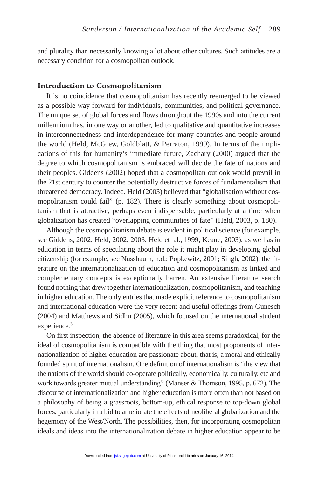and plurality than necessarily knowing a lot about other cultures. Such attitudes are a necessary condition for a cosmopolitan outlook.

#### **Introduction to Cosmopolitanism**

It is no coincidence that cosmopolitanism has recently reemerged to be viewed as a possible way forward for individuals, communities, and political governance. The unique set of global forces and flows throughout the 1990s and into the current millennium has, in one way or another, led to qualitative and quantitative increases in interconnectedness and interdependence for many countries and people around the world (Held, McGrew, Goldblatt, & Perraton, 1999). In terms of the implications of this for humanity's immediate future, Zachary (2000) argued that the degree to which cosmopolitanism is embraced will decide the fate of nations and their peoples. Giddens (2002) hoped that a cosmopolitan outlook would prevail in the 21st century to counter the potentially destructive forces of fundamentalism that threatened democracy. Indeed, Held (2003) believed that "globalisation without cosmopolitanism could fail" (p. 182). There is clearly something about cosmopolitanism that is attractive, perhaps even indispensable, particularly at a time when globalization has created "overlapping communities of fate" (Held, 2003, p. 180).

Although the cosmopolitanism debate is evident in political science (for example, see Giddens, 2002; Held, 2002, 2003; Held et al., 1999; Keane, 2003), as well as in education in terms of speculating about the role it might play in developing global citizenship (for example, see Nussbaum, n.d.; Popkewitz, 2001; Singh, 2002), the literature on the internationalization of education and cosmopolitanism as linked and complementary concepts is exceptionally barren. An extensive literature search found nothing that drew together internationalization, cosmopolitanism, and teaching in higher education. The only entries that made explicit reference to cosmopolitanism and international education were the very recent and useful offerings from Gunesch (2004) and Matthews and Sidhu (2005), which focused on the international student experience.<sup>3</sup>

On first inspection, the absence of literature in this area seems paradoxical, for the ideal of cosmopolitanism is compatible with the thing that most proponents of internationalization of higher education are passionate about, that is, a moral and ethically founded spirit of internationalism*.* One definition of internationalism is "the view that the nations of the world should co-operate politically, economically, culturally, etc and work towards greater mutual understanding" (Manser & Thomson, 1995, p. 672). The discourse of internationalization and higher education is more often than not based on a philosophy of being a grassroots, bottom-up, ethical response to top-down global forces, particularly in a bid to ameliorate the effects of neoliberal globalization and the hegemony of the West/North. The possibilities, then, for incorporating cosmopolitan ideals and ideas into the internationalization [debate in h](http://jsi.sagepub.com/)igher education appear to be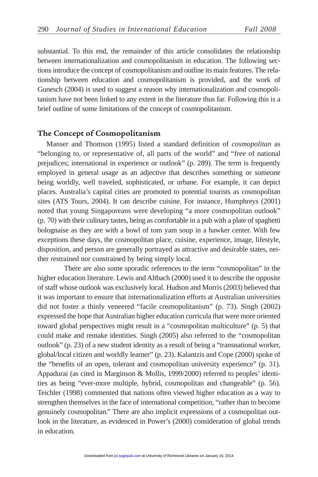substantial. To this end, the remainder of this article consolidates the relationship between internationalization and cosmopolitanism in education. The following sections introduce the concept of cosmopolitanism and outline its main features. The relationship between education and cosmopolitanism is provided, and the work of Gunesch (2004) is used to suggest a reason why internationalization and cosmopolitanism have not been linked to any extent in the literature thus far. Following this is a brief outline of some limitations of the concept of cosmopolitanism.

#### **The Concept of Cosmopolitanism**

Manser and Thomson (1995) listed a standard definition of *cosmopolitan* as "belonging to, or representative of, all parts of the world" and "free of national prejudices; international in experience or outlook" (p. 289). The term is frequently employed in general usage as an adjective that describes something or someone being worldly, well traveled, sophisticated, or urbane. For example, it can depict places. Australia's capital cities are promoted to potential tourists as cosmopolitan sites (ATS Tours, 2004). It can describe cuisine. For instance, Humphreys (2001) noted that young Singaporeans were developing "a more cosmopolitan outlook" (p. 70) with their culinary tastes, being as comfortable in a pub with a plate of spaghetti bolognaise as they are with a bowl of tom yam soup in a hawker center. With few exceptions these days, the cosmopolitan place, cuisine, experience, image, lifestyle, disposition, and person are generally portrayed as attractive and desirable states, neither restrained nor constrained by being simply local.

There are also some sporadic references to the term "cosmopolitan" in the higher education literature. Lewis and Altbach (2000) used it to describe the opposite of staff whose outlook was exclusively local. Hudson and Morris (2003) believed that it was important to ensure that internationalization efforts at Australian universities did not foster a thinly veneered "facile cosmopolitanism" (p. 73). Singh (2002) expressed the hope that Australian higher education curricula that were more oriented toward global perspectives might result in a "cosmopolitan multiculture" (p. 5) that could make and remake identities. Singh (2005) also referred to the "cosmopolitan outlook" (p. 23) of a new student identity as a result of being a "transnational worker, global/local citizen and worldly learner" (p. 23). Kalantzis and Cope (2000) spoke of the "benefits of an open, tolerant and cosmopolitan university experience" (p. 31). Appadurai (as cited in Marginson & Mollis, 1999/2000) referred to peoples' identities as being "ever-more multiple, hybrid, cosmopolitan and changeable" (p. 56). Teichler (1998) commented that nations often viewed higher education as a way to strengthen themselves in the face of international competition, "rather than to become genuinely cosmopolitan." There are also implicit expressions of a cosmopolitan outlook in the literature, as evidenced in Power's (2000) consideration of global trends in education.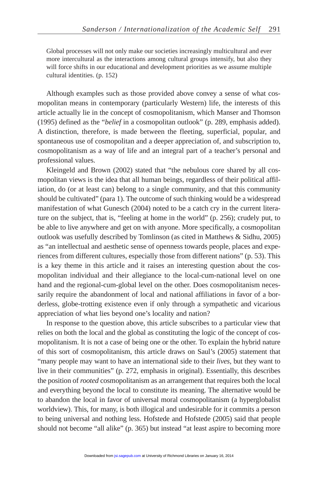Global processes will not only make our societies increasingly multicultural and ever more intercultural as the interactions among cultural groups intensify, but also they will force shifts in our educational and development priorities as we assume multiple cultural identities. (p. 152)

Although examples such as those provided above convey a sense of what cosmopolitan means in contemporary (particularly Western) life, the interests of this article actually lie in the concept of cosmopolitanism, which Manser and Thomson (1995) defined as the "*belief* in a cosmopolitan outlook" (p. 289, emphasis added). A distinction, therefore, is made between the fleeting, superficial, popular, and spontaneous use of cosmopolitan and a deeper appreciation of, and subscription to, cosmopolitanism as a way of life and an integral part of a teacher's personal and professional values.

Kleingeld and Brown (2002) stated that "the nebulous core shared by all cosmopolitan views is the idea that all human beings, regardless of their political affiliation, do (or at least can) belong to a single community, and that this community should be cultivated" (para 1). The outcome of such thinking would be a widespread manifestation of what Gunesch (2004) noted to be a catch cry in the current literature on the subject, that is, "feeling at home in the world" (p. 256); crudely put, to be able to live anywhere and get on with anyone. More specifically, a cosmopolitan outlook was usefully described by Tomlinson (as cited in Matthews & Sidhu, 2005) as "an intellectual and aesthetic sense of openness towards people, places and experiences from different cultures, especially those from different nations" (p. 53). This is a key theme in this article and it raises an interesting question about the cosmopolitan individual and their allegiance to the local-cum-national level on one hand and the regional-cum-global level on the other. Does cosmopolitanism necessarily require the abandonment of local and national affiliations in favor of a borderless, globe-trotting existence even if only through a sympathetic and vicarious appreciation of what lies beyond one's locality and nation?

In response to the question above, this article subscribes to a particular view that relies on both the local and the global as constituting the logic of the concept of cosmopolitanism. It is not a case of being one or the other. To explain the hybrid nature of this sort of cosmopolitanism, this article draws on Saul's (2005) statement that "many people may want to have an international side to their *lives*, but they want to live in their communities" (p. 272, emphasis in original). Essentially, this describes the position of *rooted* cosmopolitanism as an arrangement that requires both the local and everything beyond the local to constitute its meaning. The alternative would be to abandon the local in favor of universal moral cosmopolitanism (a hyperglobalist worldview). This, for many, is both illogical and undesirable for it commits a person to being universal and nothing less. Hofstede and Hofstede (2005) said that people should not become "all alike" (p. 365) but i[nstead "at l](http://jsi.sagepub.com/)east aspire to becoming more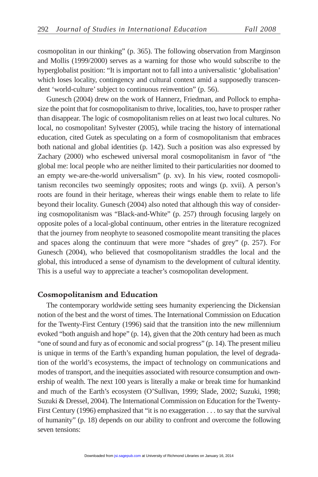cosmopolitan in our thinking" (p. 365). The following observation from Marginson and Mollis (1999/2000) serves as a warning for those who would subscribe to the hyperglobalist position: "It is important not to fall into a universalistic 'globalisation' which loses locality, contingency and cultural context amid a supposedly transcendent 'world-culture' subject to continuous reinvention" (p. 56).

Gunesch (2004) drew on the work of Hannerz, Friedman, and Pollock to emphasize the point that for cosmopolitanism to thrive, localities, too, have to prosper rather than disappear. The logic of cosmopolitanism relies on at least two local cultures. No local, no cosmopolitan! Sylvester (2005), while tracing the history of international education, cited Gutek as speculating on a form of cosmopolitanism that embraces both national and global identities (p. 142). Such a position was also expressed by Zachary (2000) who eschewed universal moral cosmopolitanism in favor of "the global me: local people who are neither limited to their particularities nor doomed to an empty we-are-the-world universalism" (p. xv). In his view, rooted cosmopolitanism reconciles two seemingly opposites; roots and wings (p. xvii). A person's roots are found in their heritage, whereas their wings enable them to relate to life beyond their locality. Gunesch (2004) also noted that although this way of considering cosmopolitanism was "Black-and-White" (p. 257) through focusing largely on opposite poles of a local-global continuum, other entries in the literature recognized that the journey from neophyte to seasoned cosmopolite meant transiting the places and spaces along the continuum that were more "shades of grey" (p. 257). For Gunesch (2004), who believed that cosmopolitanism straddles the local and the global, this introduced a sense of dynamism to the development of cultural identity. This is a useful way to appreciate a teacher's cosmopolitan development.

#### **Cosmopolitanism and Education**

The contemporary worldwide setting sees humanity experiencing the Dickensian notion of the best and the worst of times. The International Commission on Education for the Twenty-First Century (1996) said that the transition into the new millennium evoked "both anguish and hope" (p. 14), given that the 20th century had been as much "one of sound and fury as of economic and social progress" (p. 14). The present milieu is unique in terms of the Earth's expanding human population, the level of degradation of the world's ecosystems, the impact of technology on communications and modes of transport, and the inequities associated with resource consumption and ownership of wealth. The next 100 years is literally a make or break time for humankind and much of the Earth's ecosystem (O'Sullivan, 1999; Slade, 2002; Suzuki, 1998; Suzuki & Dressel, 2004). The International Commission on Education for the Twenty-First Century (1996) emphasized that "it is no exaggeration . . . to say that the survival of humanity" (p. 18) depends on our ability to confront and overcome the following seven tensions: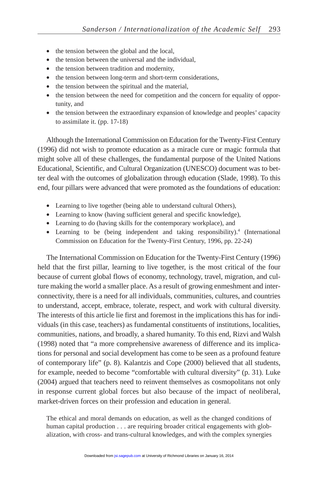- the tension between the global and the local,
- the tension between the universal and the individual,
- the tension between tradition and modernity.
- the tension between long-term and short-term considerations,
- the tension between the spiritual and the material,
- the tension between the need for competition and the concern for equality of opportunity, and
- the tension between the extraordinary expansion of knowledge and peoples' capacity to assimilate it. (pp. 17-18)

Although the International Commission on Education for the Twenty-First Century (1996) did not wish to promote education as a miracle cure or magic formula that might solve all of these challenges, the fundamental purpose of the United Nations Educational, Scientific, and Cultural Organization (UNESCO) document was to better deal with the outcomes of globalization through education (Slade, 1998). To this end, four pillars were advanced that were promoted as the foundations of education:

- Learning to live together (being able to understand cultural Others),
- Learning to know (having sufficient general and specific knowledge),
- Learning to do (having skills for the contemporary workplace), and
- Learning to be (being independent and taking responsibility).<sup>4</sup> (International Commission on Education for the Twenty-First Century, 1996, pp. 22-24)

The International Commission on Education for the Twenty-First Century (1996) held that the first pillar, learning to live together, is the most critical of the four because of current global flows of economy, technology, travel, migration, and culture making the world a smaller place. As a result of growing enmeshment and interconnectivity, there is a need for all individuals, communities, cultures, and countries to understand, accept, embrace, tolerate, respect, and work with cultural diversity. The interests of this article lie first and foremost in the implications this has for individuals (in this case, teachers) as fundamental constituents of institutions, localities, communities, nations, and broadly, a shared humanity. To this end, Rizvi and Walsh (1998) noted that "a more comprehensive awareness of difference and its implications for personal and social development has come to be seen as a profound feature of contemporary life" (p. 8). Kalantzis and Cope (2000) believed that all students, for example, needed to become "comfortable with cultural diversity" (p. 31). Luke (2004) argued that teachers need to reinvent themselves as cosmopolitans not only in response current global forces but also because of the impact of neoliberal, market-driven forces on their profession and education in general.

The ethical and moral demands on education, as well as the changed conditions of human capital production . . . are requiring broader critical engagements with globalization, with cross- and trans-cultural kno[wledges, and](http://jsi.sagepub.com/) with the complex synergies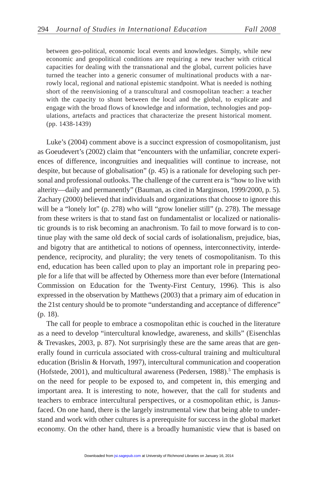between geo-political, economic local events and knowledges. Simply, while new economic and geopolitical conditions are requiring a new teacher with critical capacities for dealing with the transnational and the global, current policies have turned the teacher into a generic consumer of multinational products with a narrowly local, regional and national epistemic standpoint. What is needed is nothing short of the reenvisioning of a transcultural and cosmopolitan teacher: a teacher with the capacity to shunt between the local and the global, to explicate and engage with the broad flows of knowledge and information, technologies and populations, artefacts and practices that characterize the present historical moment. (pp. 1438-1439)

Luke's (2004) comment above is a succinct expression of cosmopolitanism, just as Goeudevert's (2002) claim that "encounters with the unfamiliar, concrete experiences of difference, incongruities and inequalities will continue to increase, not despite, but because of globalisation" (p. 45) is a rationale for developing such personal and professional outlooks. The challenge of the current era is "how to live with alterity—daily and permanently" (Bauman, as cited in Marginson, 1999/2000, p. 5). Zachary (2000) believed that individuals and organizations that choose to ignore this will be a "lonely lot" (p. 278) who will "grow lonelier still" (p. 278). The message from these writers is that to stand fast on fundamentalist or localized or nationalistic grounds is to risk becoming an anachronism. To fail to move forward is to continue play with the same old deck of social cards of isolationalism, prejudice, bias, and bigotry that are antithetical to notions of openness, interconnectivity, interdependence, reciprocity, and plurality; the very tenets of cosmopolitanism. To this end, education has been called upon to play an important role in preparing people for a life that will be affected by Otherness more than ever before (International Commission on Education for the Twenty-First Century, 1996). This is also expressed in the observation by Matthews (2003) that a primary aim of education in the 21st century should be to promote "understanding and acceptance of difference" (p. 18).

The call for people to embrace a cosmopolitan ethic is couched in the literature as a need to develop "intercultural knowledge, awareness, and skills" (Eisenchlas & Trevaskes, 2003, p. 87). Not surprisingly these are the same areas that are generally found in curricula associated with cross-cultural training and multicultural education (Brislin & Horvath, 1997), intercultural communication and cooperation (Hofstede, 2001), and multicultural awareness (Pedersen, 1988).<sup>5</sup> The emphasis is on the need for people to be exposed to, and competent in, this emerging and important area. It is interesting to note, however, that the call for students and teachers to embrace intercultural perspectives, or a cosmopolitan ethic, is Janusfaced. On one hand, there is the largely instrumental view that being able to understand and work with other cultures is a prerequisite for success in the global market economy. On the other hand, there is a br[oadly hum](http://jsi.sagepub.com/)anistic view that is based on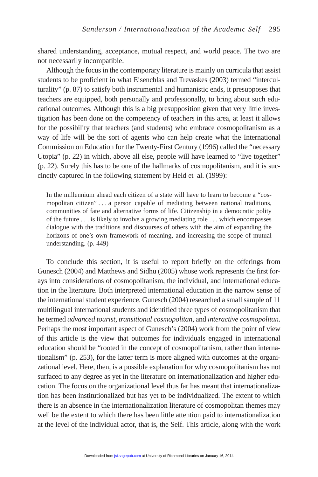shared understanding, acceptance, mutual respect, and world peace. The two are not necessarily incompatible.

Although the focus in the contemporary literature is mainly on curricula that assist students to be proficient in what Eisenchlas and Trevaskes (2003) termed "interculturality" (p. 87) to satisfy both instrumental and humanistic ends, it presupposes that teachers are equipped, both personally and professionally, to bring about such educational outcomes. Although this is a big presupposition given that very little investigation has been done on the competency of teachers in this area, at least it allows for the possibility that teachers (and students) who embrace cosmopolitanism as a way of life will be the sort of agents who can help create what the International Commission on Education for the Twenty-First Century (1996) called the "necessary Utopia" (p. 22) in which, above all else, people will have learned to "live together" (p. 22). Surely this has to be one of the hallmarks of cosmopolitanism, and it is succinctly captured in the following statement by Held et al. (1999):

In the millennium ahead each citizen of a state will have to learn to become a "cosmopolitan citizen" . . . a person capable of mediating between national traditions, communities of fate and alternative forms of life. Citizenship in a democratic polity of the future . . . is likely to involve a growing mediating role . . . which encompasses dialogue with the traditions and discourses of others with the aim of expanding the horizons of one's own framework of meaning, and increasing the scope of mutual understanding. (p. 449)

To conclude this section, it is useful to report briefly on the offerings from Gunesch (2004) and Matthews and Sidhu (2005) whose work represents the first forays into considerations of cosmopolitanism, the individual, and international education in the literature. Both interpreted international education in the narrow sense of the international student experience. Gunesch (2004) researched a small sample of 11 multilingual international students and identified three types of cosmopolitanism that he termed *advanced tourist*, *transitional cosmopolitan*, and *interactive cosmopolitan*. Perhaps the most important aspect of Gunesch's (2004) work from the point of view of this article is the view that outcomes for individuals engaged in international education should be "rooted in the concept of cosmopolitanism, rather than internationalism" (p. 253), for the latter term is more aligned with outcomes at the organizational level. Here, then, is a possible explanation for why cosmopolitanism has not surfaced to any degree as yet in the literature on internationalization and higher education. The focus on the organizational level thus far has meant that internationalization has been institutionalized but has yet to be individualized. The extent to which there is an absence in the internationalization literature of cosmopolitan themes may well be the extent to which there has been little attention paid to internationalization at the level of the individual actor, that is, the Self. This article, along with the work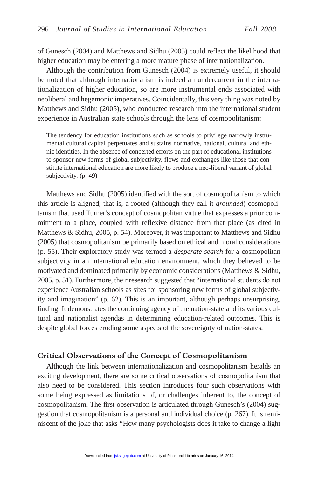of Gunesch (2004) and Matthews and Sidhu (2005) could reflect the likelihood that higher education may be entering a more mature phase of internationalization.

Although the contribution from Gunesch (2004) is extremely useful, it should be noted that although internationalism is indeed an undercurrent in the internationalization of higher education, so are more instrumental ends associated with neoliberal and hegemonic imperatives. Coincidentally, this very thing was noted by Matthews and Sidhu (2005), who conducted research into the international student experience in Australian state schools through the lens of cosmopolitanism:

The tendency for education institutions such as schools to privilege narrowly instrumental cultural capital perpetuates and sustains normative, national, cultural and ethnic identities. In the absence of concerted efforts on the part of educational institutions to sponsor new forms of global subjectivity, flows and exchanges like those that constitute international education are more likely to produce a neo-liberal variant of global subjectivity. (p. 49)

Matthews and Sidhu (2005) identified with the sort of cosmopolitanism to which this article is aligned, that is, a rooted (although they call it *grounded*) cosmopolitanism that used Turner's concept of cosmopolitan virtue that expresses a prior commitment to a place, coupled with reflexive distance from that place (as cited in Matthews & Sidhu, 2005, p. 54). Moreover, it was important to Matthews and Sidhu (2005) that cosmopolitanism be primarily based on ethical and moral considerations (p. 55). Their exploratory study was termed a *desperate search* for a cosmopolitan subjectivity in an international education environment, which they believed to be motivated and dominated primarily by economic considerations (Matthews & Sidhu, 2005, p. 51). Furthermore, their research suggested that "international students do not experience Australian schools as sites for sponsoring new forms of global subjectivity and imagination" (p. 62). This is an important, although perhaps unsurprising, finding. It demonstrates the continuing agency of the nation-state and its various cultural and nationalist agendas in determining education-related outcomes. This is despite global forces eroding some aspects of the sovereignty of nation-states.

#### **Critical Observations of the Concept of Cosmopolitanism**

Although the link between internationalization and cosmopolitanism heralds an exciting development, there are some critical observations of cosmopolitanism that also need to be considered. This section introduces four such observations with some being expressed as limitations of, or challenges inherent to, the concept of cosmopolitanism. The first observation is articulated through Gunesch's (2004) suggestion that cosmopolitanism is a personal and individual choice (p. 267). It is reminiscent of the joke that asks "How many psychologists does it take to change a light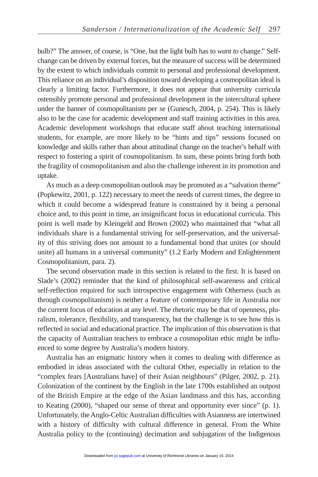bulb?" The answer, of course, is "One, but the light bulb has to *want to* change." Selfchange can be driven by external forces, but the measure of success will be determined by the extent to which individuals commit to personal and professional development. This reliance on an individual's disposition toward developing a cosmopolitan ideal is clearly a limiting factor. Furthermore, it does not appear that university curricula ostensibly promote personal and professional development in the intercultural sphere under the banner of cosmopolitanism per se (Gunesch, 2004, p. 254). This is likely also to be the case for academic development and staff training activities in this area. Academic development workshops that educate staff about teaching international students, for example, are more likely to be "hints and tips" sessions focused on knowledge and skills rather than about attitudinal change on the teacher's behalf with respect to fostering a spirit of cosmopolitanism. In sum, these points bring forth both the fragility of cosmopolitanism and also the challenge inherent in its promotion and uptake.

As much as a deep cosmopolitan outlook may be promoted as a "salvation theme" (Popkewitz, 2001, p. 122) necessary to meet the needs of current times, the degree to which it could become a widespread feature is constrained by it being a personal choice and, to this point in time, an insignificant focus in educational curricula. This point is well made by Kleingeld and Brown (2002) who maintained that "what all individuals share is a fundamental striving for self-preservation, and the universality of this striving does not amount to a fundamental bond that unites (or should unite) all humans in a universal community" (1.2 Early Modern and Enlightenment Cosmopolitanism, para. 2).

The second observation made in this section is related to the first. It is based on Slade's (2002) reminder that the kind of philosophical self-awareness and critical self-reflection required for such introspective engagement with Otherness (such as through cosmopolitanism) is neither a feature of contemporary life in Australia nor the current focus of education at any level. The rhetoric may be that of openness, pluralism, tolerance, flexibility, and transparency, but the challenge is to see how this is reflected in social and educational practice. The implication of this observation is that the capacity of Australian teachers to embrace a cosmopolitan ethic might be influenced to some degree by Australia's modern history.

Australia has an enigmatic history when it comes to dealing with difference as embodied in ideas associated with the cultural Other, especially in relation to the "complex fears [Australians have] of their Asian neighbours" (Pilger, 2002, p. 21). Colonization of the continent by the English in the late 1700s established an outpost of the British Empire at the edge of the Asian landmass and this has, according to Keating (2000), "shaped our sense of threat and opportunity ever since" (p. 1). Unfortunately, the Anglo-Celtic Australian difficulties with Asianness are intertwined with a history of difficulty with cultural difference in general. From the White Australia policy to the (continuing) decima[tion and su](http://jsi.sagepub.com/)bjugation of the Indigenous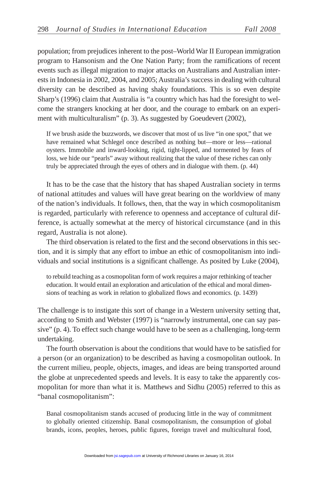population; from prejudices inherent to the post–World War II European immigration program to Hansonism and the One Nation Party; from the ramifications of recent events such as illegal migration to major attacks on Australians and Australian interests in Indonesia in 2002, 2004, and 2005; Australia's success in dealing with cultural diversity can be described as having shaky foundations. This is so even despite Sharp's (1996) claim that Australia is "a country which has had the foresight to welcome the strangers knocking at her door, and the courage to embark on an experiment with multiculturalism" (p. 3). As suggested by Goeudevert (2002),

If we brush aside the buzzwords, we discover that most of us live "in one spot," that we have remained what Schlegel once described as nothing but—more or less—rational oysters. Immobile and inward-looking, rigid, tight-lipped, and tormented by fears of loss, we hide our "pearls" away without realizing that the value of these riches can only truly be appreciated through the eyes of others and in dialogue with them. (p. 44)

It has to be the case that the history that has shaped Australian society in terms of national attitudes and values will have great bearing on the worldview of many of the nation's individuals. It follows, then, that the way in which cosmopolitanism is regarded, particularly with reference to openness and acceptance of cultural difference, is actually somewhat at the mercy of historical circumstance (and in this regard, Australia is not alone).

The third observation is related to the first and the second observations in this section, and it is simply that any effort to imbue an ethic of cosmopolitanism into individuals and social institutions is a significant challenge. As posited by Luke (2004),

to rebuild teaching as a cosmopolitan form of work requires a major rethinking of teacher education. It would entail an exploration and articulation of the ethical and moral dimensions of teaching as work in relation to globalized flows and economics. (p. 1439)

The challenge is to instigate this sort of change in a Western university setting that, according to Smith and Webster (1997) is "narrowly instrumental, one can say passive" (p. 4). To effect such change would have to be seen as a challenging, long-term undertaking.

The fourth observation is about the conditions that would have to be satisfied for a person (or an organization) to be described as having a cosmopolitan outlook. In the current milieu, people, objects, images, and ideas are being transported around the globe at unprecedented speeds and levels. It is easy to take the apparently cosmopolitan for more than what it is. Matthews and Sidhu (2005) referred to this as "banal cosmopolitanism":

Banal cosmopolitanism stands accused of producing little in the way of commitment to globally oriented citizenship. Banal cosmopolitanism, the consumption of global brands, icons, peoples, heroes, public figure[s, foreign tr](http://jsi.sagepub.com/)avel and multicultural food,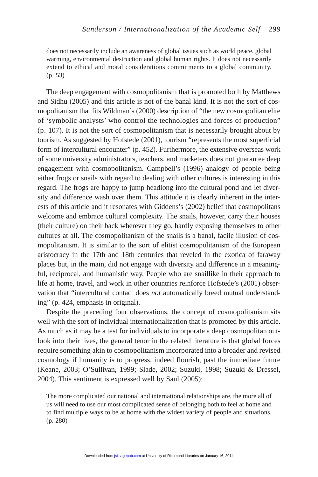does not necessarily include an awareness of global issues such as world peace, global warming, environmental destruction and global human rights. It does not necessarily extend to ethical and moral considerations commitments to a global community. (p. 53)

The deep engagement with cosmopolitanism that is promoted both by Matthews and Sidhu (2005) and this article is not of the banal kind. It is not the sort of cosmopolitanism that fits Wildman's (2000) description of "the new cosmopolitan elite of 'symbolic analysts' who control the technologies and forces of production" (p. 107). It is not the sort of cosmopolitanism that is necessarily brought about by tourism. As suggested by Hofstede (2001), tourism "represents the most superficial form of intercultural encounter" (p. 452). Furthermore, the extensive overseas work of some university administrators, teachers, and marketers does not guarantee deep engagement with cosmopolitanism. Campbell's (1996) analogy of people being either frogs or snails with regard to dealing with other cultures is interesting in this regard. The frogs are happy to jump headlong into the cultural pond and let diversity and difference wash over them. This attitude it is clearly inherent in the interests of this article and it resonates with Giddens's (2002) belief that cosmopolitans welcome and embrace cultural complexity. The snails, however, carry their houses (their culture) on their back wherever they go, hardly exposing themselves to other cultures at all. The cosmopolitanism of the snails is a banal, facile illusion of cosmopolitanism. It is similar to the sort of elitist cosmopolitanism of the European aristocracy in the 17th and 18th centuries that reveled in the exotica of faraway places but, in the main, did not engage with diversity and difference in a meaningful, reciprocal, and humanistic way. People who are snaillike in their approach to life at home, travel, and work in other countries reinforce Hofstede's (2001) observation that "intercultural contact does *not* automatically breed mutual understanding" (p. 424, emphasis in original).

Despite the preceding four observations, the concept of cosmopolitanism sits well with the sort of individual internationalization that is promoted by this article. As much as it may be a test for individuals to incorporate a deep cosmopolitan outlook into their lives, the general tenor in the related literature is that global forces require something akin to cosmopolitanism incorporated into a broader and revised cosmology if humanity is to progress, indeed flourish, past the immediate future (Keane, 2003; O'Sullivan, 1999; Slade, 2002; Suzuki, 1998; Suzuki & Dressel, 2004). This sentiment is expressed well by Saul (2005):

The more complicated our national and international relationships are, the more all of us will need to use our most complicated sense of belonging both to feel at home and to find multiple ways to be at home with the widest variety of people and situations. (p. 280)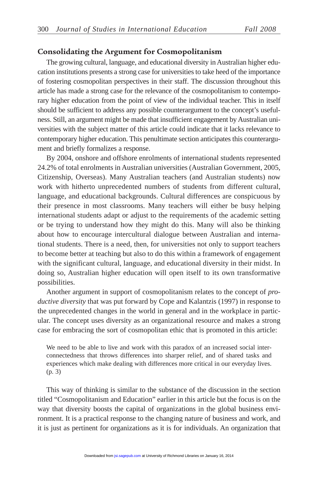#### **Consolidating the Argument for Cosmopolitanism**

The growing cultural, language, and educational diversity in Australian higher education institutions presents a strong case for universities to take heed of the importance of fostering cosmopolitan perspectives in their staff. The discussion throughout this article has made a strong case for the relevance of the cosmopolitanism to contemporary higher education from the point of view of the individual teacher. This in itself should be sufficient to address any possible counterargument to the concept's usefulness. Still, an argument might be made that insufficient engagement by Australian universities with the subject matter of this article could indicate that it lacks relevance to contemporary higher education. This penultimate section anticipates this counterargument and briefly formalizes a response.

By 2004, onshore and offshore enrolments of international students represented 24.2% of total enrolments in Australian universities (Australian Government, 2005, Citizenship, Overseas). Many Australian teachers (and Australian students) now work with hitherto unprecedented numbers of students from different cultural, language, and educational backgrounds. Cultural differences are conspicuous by their presence in most classrooms. Many teachers will either be busy helping international students adapt or adjust to the requirements of the academic setting or be trying to understand how they might do this. Many will also be thinking about how to encourage intercultural dialogue between Australian and international students. There is a need, then, for universities not only to support teachers to become better at teaching but also to do this within a framework of engagement with the significant cultural, language, and educational diversity in their midst. In doing so, Australian higher education will open itself to its own transformative possibilities.

Another argument in support of cosmopolitanism relates to the concept of *productive diversity* that was put forward by Cope and Kalantzis (1997) in response to the unprecedented changes in the world in general and in the workplace in particular. The concept uses diversity as an organizational resource and makes a strong case for embracing the sort of cosmopolitan ethic that is promoted in this article:

We need to be able to live and work with this paradox of an increased social interconnectedness that throws differences into sharper relief, and of shared tasks and experiences which make dealing with differences more critical in our everyday lives. (p. 3)

This way of thinking is similar to the substance of the discussion in the section titled "Cosmopolitanism and Education" earlier in this article but the focus is on the way that diversity boosts the capital of organizations in the global business environment. It is a practical response to the changing nature of business and work, and it is just as pertinent for organizations as it [is for indi](http://jsi.sagepub.com/)viduals. An organization that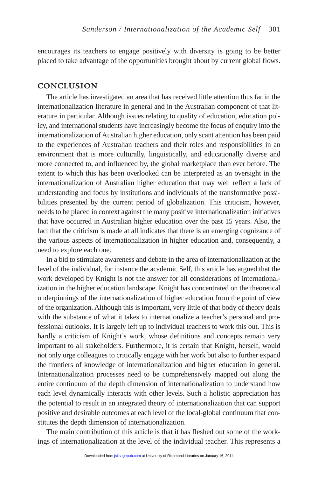encourages its teachers to engage positively with diversity is going to be better placed to take advantage of the opportunities brought about by current global flows.

#### **CONCLUSION**

The article has investigated an area that has received little attention thus far in the internationalization literature in general and in the Australian component of that literature in particular. Although issues relating to quality of education, education policy, and international students have increasingly become the focus of enquiry into the internationalization of Australian higher education, only scant attention has been paid to the experiences of Australian teachers and their roles and responsibilities in an environment that is more culturally, linguistically, and educationally diverse and more connected to, and influenced by, the global marketplace than ever before. The extent to which this has been overlooked can be interpreted as an oversight in the internationalization of Australian higher education that may well reflect a lack of understanding and focus by institutions and individuals of the transformative possibilities presented by the current period of globalization. This criticism, however, needs to be placed in context against the many positive internationalization initiatives that have occurred in Australian higher education over the past 15 years. Also, the fact that the criticism is made at all indicates that there is an emerging cognizance of the various aspects of internationalization in higher education and, consequently, a need to explore each one.

In a bid to stimulate awareness and debate in the area of internationalization at the level of the individual, for instance the academic Self, this article has argued that the work developed by Knight is not the answer for all considerations of internationalization in the higher education landscape. Knight has concentrated on the theoretical underpinnings of the internationalization of higher education from the point of view of the organization. Although this is important, very little of that body of theory deals with the substance of what it takes to internationalize a teacher's personal and professional outlooks. It is largely left up to individual teachers to work this out. This is hardly a criticism of Knight's work, whose definitions and concepts remain very important to all stakeholders. Furthermore, it is certain that Knight, herself, would not only urge colleagues to critically engage with her work but also to further expand the frontiers of knowledge of internationalization and higher education in general. Internationalization processes need to be comprehensively mapped out along the entire continuum of the depth dimension of internationalization to understand how each level dynamically interacts with other levels. Such a holistic appreciation has the potential to result in an integrated theory of internationalization that can support positive and desirable outcomes at each level of the local-global continuum that constitutes the depth dimension of internationalization.

The main contribution of this article is t[hat it has fl](http://jsi.sagepub.com/)eshed out some of the workings of internationalization at the level of the individual teacher. This represents a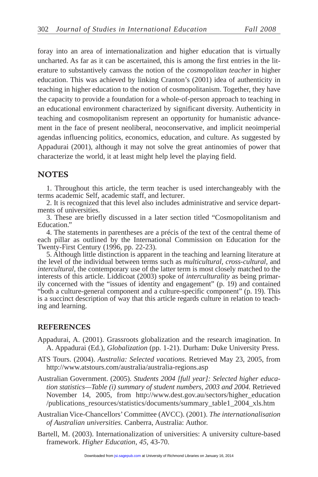foray into an area of internationalization and higher education that is virtually uncharted. As far as it can be ascertained, this is among the first entries in the literature to substantively canvass the notion of the *cosmopolitan teacher* in higher education. This was achieved by linking Cranton's (2001) idea of authenticity in teaching in higher education to the notion of cosmopolitanism. Together, they have the capacity to provide a foundation for a whole-of-person approach to teaching in an educational environment characterized by significant diversity. Authenticity in teaching and cosmopolitanism represent an opportunity for humanistic advancement in the face of present neoliberal, neoconservative, and implicit neoimperial agendas influencing politics, economics, education, and culture. As suggested by Appadurai (2001), although it may not solve the great antinomies of power that characterize the world, it at least might help level the playing field.

#### **NOTES**

1. Throughout this article, the term teacher is used interchangeably with the terms academic Self, academic staff, and lecturer*.*

2. It is recognized that this level also includes administrative and service departments of universities.

3. These are briefly discussed in a later section titled "Cosmopolitanism and Education."

4. The statements in parentheses are a précis of the text of the central theme of each pillar as outlined by the International Commission on Education for the Twenty-First Century (1996, pp. 22-23).

5. Although little distinction is apparent in the teaching and learning literature at the level of the individual between terms such as *multicultural, cross-cultural,* and *intercultural,* the contemporary use of the latter term is most closely matched to the interests of this article. Liddicoat (2003) spoke of *interculturality* as being primarily concerned with the "issues of identity and engagement" (p. 19) and contained "both a culture-general component and a culture-specific component" (p. 19). This is a succinct description of way that this article regards culture in relation to teaching and learning.

#### **REFERENCES**

- Appadurai, A. (2001). Grassroots globalization and the research imagination. In A. Appadurai (Ed.), *Globalization* (pp. 1-21). Durham: Duke University Press.
- ATS Tours. (2004). *Australia: Selected vacations.* Retrieved May 23, 2005, from http://www.atstours.com/australia/australia-regions.asp
- Australian Government. (2005). *Students 2004 [full year]: Selected higher education statistics—Table (i) summary of student numbers, 2003 and 2004.* Retrieved November 14, 2005, from http://www.dest.gov.au/sectors/higher\_education /publications\_resources/statistics/documents/summary\_table1\_2004\_xls.htm
- Australian Vice-Chancellors' Committee (AVCC). (2001). *The internationalisation of Australian universities.* Canberra, Australia: Author.
- Bartell, M. (2003). Internationalization of [universitie](http://jsi.sagepub.com/)s: A university culture-based framework. *Higher Education*, *45*, 43-70.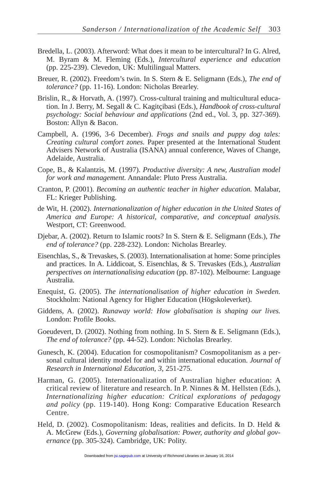- Bredella, L. (2003). Afterword: What does it mean to be intercultural? In G. Alred, M. Byram & M. Fleming (Eds.), *Intercultural experience and education* (pp. 225-239). Clevedon, UK: Multilingual Matters.
- Breuer, R. (2002). Freedom's twin. In S. Stern & E. Seligmann (Eds.), *The end of tolerance?* (pp. 11-16). London: Nicholas Brearley.
- Brislin, R., & Horvath, A. (1997). Cross-cultural training and multicultural education. In J. Berry, M. Segall & C. Kagitçibasi (Eds.), *Handbook of cross-cultural psychology: Social behaviour and applications* (2nd ed., Vol. 3, pp. 327-369). Boston: Allyn & Bacon.
- Campbell, A. (1996, 3-6 December). *Frogs and snails and puppy dog tales: Creating cultural comfort zones.* Paper presented at the International Student Advisers Network of Australia (ISANA) annual conference, Waves of Change, Adelaide, Australia.
- Cope, B., & Kalantzis, M. (1997). *Productive diversity: A new, Australian model for work and management.* Annandale: Pluto Press Australia.
- Cranton, P. (2001). *Becoming an authentic teacher in higher education.* Malabar, FL: Krieger Publishing.
- de Wit, H. (2002). *Internationalization of higher education in the United States of America and Europe: A historical, comparative, and conceptual analysis.* Westport, CT: Greenwood.
- Djebar, A. (2002). Return to Islamic roots? In S. Stern & E. Seligmann (Eds.), *The end of tolerance?* (pp. 228-232). London: Nicholas Brearley.
- Eisenchlas, S., & Trevaskes, S. (2003). Internationalisation at home: Some principles and practices. In A. Liddicoat, S. Eisenchlas, & S. Trevaskes (Eds.), *Australian perspectives on internationalising education* (pp. 87-102). Melbourne: Language Australia.
- Enequist, G. (2005). *The internationalisation of higher education in Sweden.* Stockholm: National Agency for Higher Education (Högskoleverket).
- Giddens, A. (2002). *Runaway world: How globalisation is shaping our lives.* London: Profile Books.
- Goeudevert, D. (2002). Nothing from nothing. In S. Stern & E. Seligmann (Eds.), *The end of tolerance?* (pp. 44-52). London: Nicholas Brearley.
- Gunesch, K. (2004). Education for cosmopolitanism? Cosmopolitanism as a personal cultural identity model for and within international education. *Journal of Research in International Education*, *3*, 251-275.
- Harman, G. (2005). Internationalization of Australian higher education: A critical review of literature and research. In P. Ninnes & M. Hellsten (Eds.), *Internationalizing higher education: Critical explorations of pedagogy and policy* (pp. 119-140). Hong Kong: Comparative Education Research Centre.
- Held, D. (2002). Cosmopolitanism: Ideas, realities and deficits. In D. Held & A. McGrew (Eds.), *Governing globalis[ation: Powe](http://jsi.sagepub.com/)r, authority and global governance* (pp. 305-324). Cambridge, UK: Polity.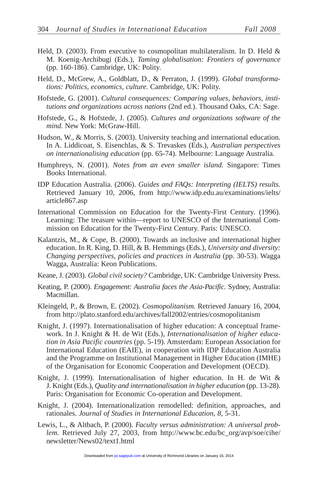- Held, D. (2003). From executive to cosmopolitan multilateralism. In D. Held & M. Koenig-Archibugi (Eds.), *Taming globalisation: Frontiers of governance* (pp. 160-186). Cambridge, UK: Polity.
- Held, D., McGrew, A., Goldblatt, D., & Perraton, J. (1999). *Global transformations: Politics, economics, culture.* Cambridge, UK: Polity.
- Hofstede, G. (2001). *Cultural consequences: Comparing values, behaviors, institutions and organizations across nations* (2nd ed.). Thousand Oaks, CA: Sage.
- Hofstede, G., & Hofstede, J. (2005). *Cultures and organizations software of the mind.* New York: McGraw-Hill.
- Hudson, W., & Morris, S. (2003). University teaching and international education. In A. Liddicoat, S. Eisenchlas, & S. Trevaskes (Eds.), *Australian perspectives on internationalising education* (pp. 65-74). Melbourne: Language Australia.
- Humphreys, N. (2001). *Notes from an even smaller island.* Singapore: Times Books International.
- IDP Education Australia. (2006). *Guides and FAQs: Interpreting (IELTS) results.* Retrieved January 10, 2006, from http://www.idp.edu.au/examinations/ielts/ article867.asp
- International Commission on Education for the Twenty-First Century. (1996). Learning: The treasure within—report to UNESCO of the International Commission on Education for the Twenty-First Century. Paris: UNESCO.
- Kalantzis, M., & Cope, B. (2000). Towards an inclusive and international higher education. In R. King, D. Hill, & B. Hemmings (Eds.), *University and diversity: Changing perspectives, policies and practices in Australia* (pp. 30-53). Wagga Wagga, Australia: Keon Publications.
- Keane, J. (2003). *Global civil society?* Cambridge, UK: Cambridge University Press.
- Keating, P. (2000). *Engagement: Australia faces the Asia-Pacific.* Sydney, Australia: Macmillan.
- Kleingeld, P., & Brown, E. (2002). *Cosmopolitanism.* Retrieved January 16, 2004, from http://plato.stanford.edu/archives/fall2002/entries/cosmopolitanism
- Knight, J. (1997). Internationalisation of higher education: A conceptual framework. In J. Knight & H. de Wit (Eds.), *Internationalisation of higher education in Asia Pacific countries* (pp. 5-19). Amsterdam: European Association for International Education (EAIE), in cooperation with IDP Education Australia and the Programme on Institutional Management in Higher Education (IMHE) of the Organisation for Economic Cooperation and Development (OECD).
- Knight, J. (1999). Internationalisation of higher education. In H. de Wit  $\&$ J. Knight (Eds.), *Quality and internationalisation in higher education* (pp. 13-28). Paris: Organisation for Economic Co-operation and Development.
- Knight, J. (2004). Internationalization remodelled: definition, approaches, and rationales. *Journal of Studies in International Education*, *8*, 5-31.
- Lewis, L., & Altbach, P. (2000). *Faculty versus administration: A universal problem.* Retrieved July 27, 2003, from h[ttp://www.](http://jsi.sagepub.com/)bc.edu/bc\_org/avp/soe/cihe/ newsletter/News02/text1.html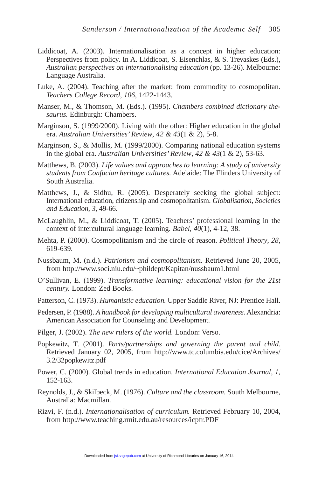- Liddicoat, A. (2003). Internationalisation as a concept in higher education: Perspectives from policy. In A. Liddicoat, S. Eisenchlas, & S. Trevaskes (Eds.), *Australian perspectives on internationalising education* (pp. 13-26). Melbourne: Language Australia.
- Luke, A. (2004). Teaching after the market: from commodity to cosmopolitan. *Teachers College Record*, *106*, 1422-1443.
- Manser, M., & Thomson, M. (Eds.). (1995). *Chambers combined dictionary thesaurus.* Edinburgh: Chambers.
- Marginson, S. (1999/2000). Living with the other: Higher education in the global era. *Australian Universities' Review*, *42 & 43*(1 & 2), 5-8.
- Marginson, S., & Mollis, M. (1999/2000). Comparing national education systems in the global era. *Australian Universities' Review*, *42 & 43*(1 & 2), 53-63.
- Matthews, B. (2003). *Life values and approaches to learning: A study of university students from Confucian heritage cultures.* Adelaide: The Flinders University of South Australia.
- Matthews, J., & Sidhu, R. (2005). Desperately seeking the global subject: International education, citizenship and cosmopolitanism. *Globalisation, Societies and Education*, *3*, 49-66.
- McLaughlin, M., & Liddicoat, T. (2005). Teachers' professional learning in the context of intercultural language learning. *Babel, 40*(1), 4-12, 38.
- Mehta, P. (2000). Cosmopolitanism and the circle of reason. *Political Theory*, *28*, 619-639.
- Nussbaum, M. (n.d.). *Patriotism and cosmopolitanism.* Retrieved June 20, 2005, from http://www.soci.niu.edu/~phildept/Kapitan/nussbaum1.html
- O'Sullivan, E. (1999). *Transformative learning: educational vision for the 21st century.* London: Zed Books.
- Patterson, C. (1973). *Humanistic education.* Upper Saddle River, NJ: Prentice Hall.
- Pedersen, P. (1988). *A handbook for developing multicultural awareness.* Alexandria: American Association for Counseling and Development.
- Pilger, J. (2002). *The new rulers of the world.* London: Verso.
- Popkewitz, T. (2001). *Pacts/partnerships and governing the parent and child.* Retrieved January 02, 2005, from http://www.tc.columbia.edu/cice/Archives/ 3.2/32popkewitz.pdf
- Power, C. (2000). Global trends in education. *International Education Journal*, *1*, 152-163.
- Reynolds, J., & Skilbeck, M. (1976). *Culture and the classroom.* South Melbourne, Australia: Macmillan.
- Rizvi, F. (n.d.). *Internationalisation of curriculum.* Retrieved February 10, 2004, from http://www.teaching.rmit.edu.au/resources/icpfr.PDF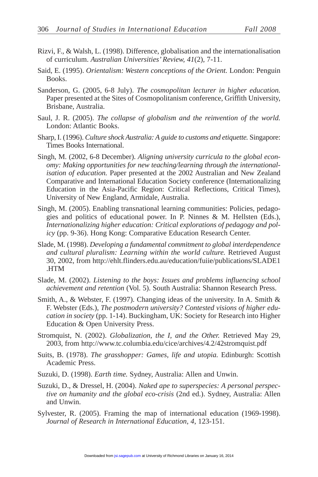- Rizvi, F., & Walsh, L. (1998). Difference, globalisation and the internationalisation of curriculum. *Australian Universities' Review, 41*(2), 7-11.
- Said, E. (1995). *Orientalism: Western conceptions of the Orient.* London: Penguin Books.
- Sanderson, G. (2005, 6-8 July). *The cosmopolitan lecturer in higher education.* Paper presented at the Sites of Cosmopolitanism conference, Griffith University, Brisbane, Australia.
- Saul, J. R. (2005). *The collapse of globalism and the reinvention of the world.* London: Atlantic Books.
- Sharp, I. (1996). *Culture shock Australia: A guide to customs and etiquette.* Singapore: Times Books International.
- Singh, M. (2002, 6-8 December). *Aligning university curricula to the global economy: Making opportunities for new teaching/learning through the internationalisation of education.* Paper presented at the 2002 Australian and New Zealand Comparative and International Education Society conference (Internationalizing Education in the Asia-Pacific Region: Critical Reflections, Critical Times), University of New England, Armidale, Australia.
- Singh, M. (2005). Enabling transnational learning communities: Policies, pedagogies and politics of educational power. In P. Ninnes & M. Hellsten (Eds.), *Internationalizing higher education: Critical explorations of pedagogy and policy* (pp. 9-36). Hong Kong: Comparative Education Research Center.
- Slade, M. (1998). *Developing a fundamental commitment to global interdependence and cultural pluralism: Learning within the world culture.* Retrieved August 30, 2002, from http://ehlt.flinders.edu.au/education/fuiie/publications/SLADE1 .HTM
- Slade, M. (2002). *Listening to the boys: Issues and problems influencing school achievement and retention* (Vol. 5). South Australia: Shannon Research Press.
- Smith, A., & Webster, F. (1997). Changing ideas of the university. In A. Smith & F. Webster (Eds.), *The postmodern university? Contested visions of higher education in society* (pp. 1-14). Buckingham, UK: Society for Research into Higher Education & Open University Press.
- Stromquist, N. (2002). *Globalization, the I, and the Other.* Retrieved May 29, 2003, from http://www.tc.columbia.edu/cice/archives/4.2/42stromquist.pdf
- Suits, B. (1978). *The grasshopper: Games, life and utopia.* Edinburgh: Scottish Academic Press.
- Suzuki, D. (1998). *Earth time.* Sydney, Australia: Allen and Unwin.
- Suzuki, D., & Dressel, H. (2004). *Naked ape to superspecies: A personal perspective on humanity and the global eco-crisis* (2nd ed.). Sydney, Australia: Allen and Unwin.
- Sylvester, R. (2005). Framing the map of international education (1969-1998). *Journal of Research in International Education*, *4*, 123-151.